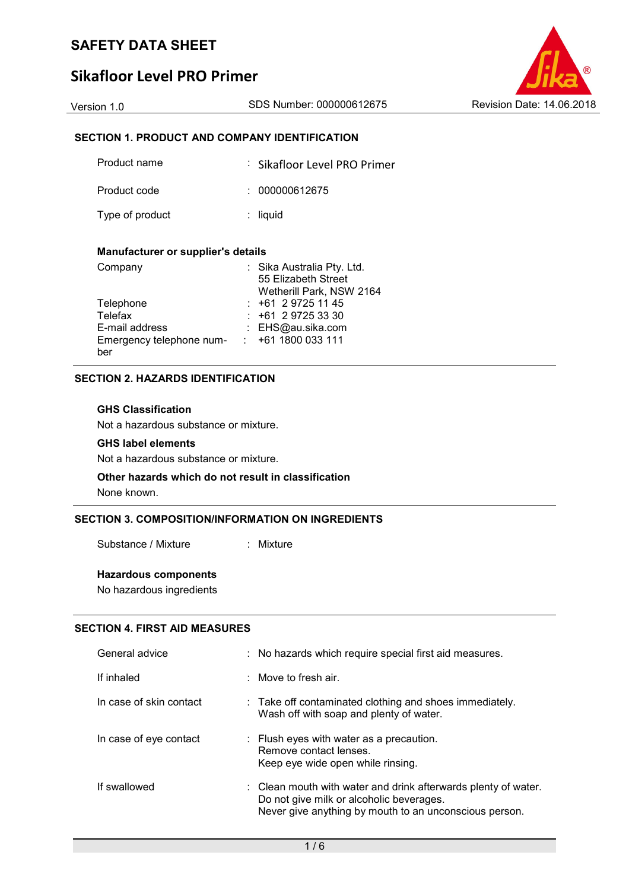## **Sikafloor Level PRO Primer**

Version 1.0 SDS Number: 000000612675 Revision Date: 14.06.2018

## **SECTION 1. PRODUCT AND COMPANY IDENTIFICATION**

| Product name    | : Sikafloor Level PRO Primer |
|-----------------|------------------------------|
| Product code    | : 000000612675               |
| Type of product | $:$ liquid                   |

## **Manufacturer or supplier's details**

| Company                  | : Sika Australia Pty. Ltd. |
|--------------------------|----------------------------|
|                          | 55 Elizabeth Street        |
|                          | Wetherill Park, NSW 2164   |
| Telephone                | $: +61297251145$           |
| Telefax                  | $: +61297253330$           |
| E-mail address           | : EHS@au.sika.com          |
| Emergency telephone num- | $: +611800033111$          |
| ber                      |                            |

## **SECTION 2. HAZARDS IDENTIFICATION**

### **GHS Classification**

Not a hazardous substance or mixture.

## **GHS label elements**

Not a hazardous substance or mixture.

## **Other hazards which do not result in classification**

None known.

## **SECTION 3. COMPOSITION/INFORMATION ON INGREDIENTS**

Substance / Mixture : Mixture

## **Hazardous components**

No hazardous ingredients

## **SECTION 4. FIRST AID MEASURES**

| General advice          | : No hazards which require special first aid measures.                                                                                                               |
|-------------------------|----------------------------------------------------------------------------------------------------------------------------------------------------------------------|
| If inhaled              | $\therefore$ Move to fresh air.                                                                                                                                      |
| In case of skin contact | $\therefore$ Take off contaminated clothing and shoes immediately.<br>Wash off with soap and plenty of water.                                                        |
| In case of eye contact  | : Flush eyes with water as a precaution.<br>Remove contact lenses.<br>Keep eye wide open while rinsing.                                                              |
| If swallowed            | : Clean mouth with water and drink afterwards plenty of water.<br>Do not give milk or alcoholic beverages.<br>Never give anything by mouth to an unconscious person. |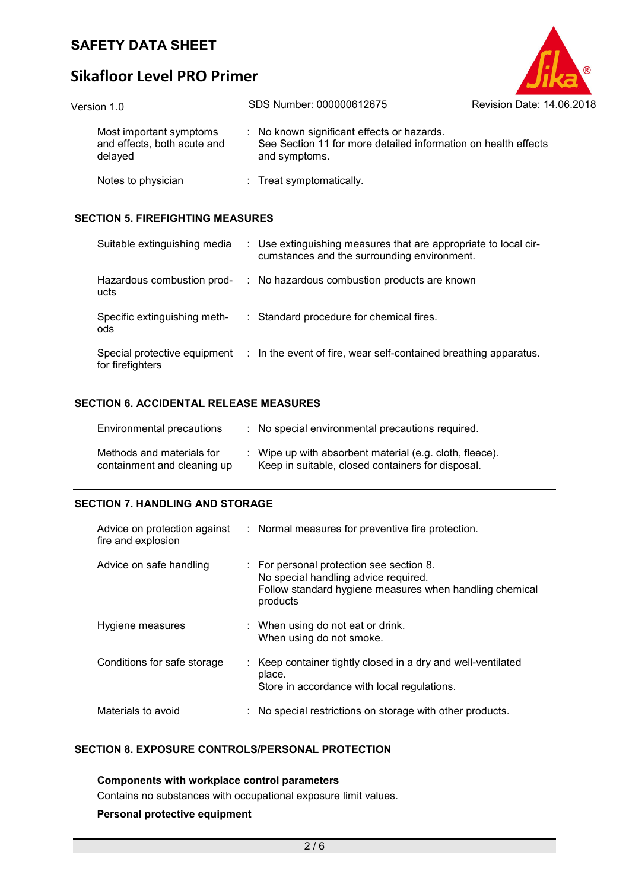# **Sikafloor Level PRO Primer**

| Version 1.0                                                       | SDS Number: 000000612675                                                                                                      | Revision Date: 14.06.2018 |
|-------------------------------------------------------------------|-------------------------------------------------------------------------------------------------------------------------------|---------------------------|
| Most important symptoms<br>and effects, both acute and<br>delayed | : No known significant effects or hazards.<br>See Section 11 for more detailed information on health effects<br>and symptoms. |                           |
| Notes to physician                                                | : Treat symptomatically.                                                                                                      |                           |
|                                                                   |                                                                                                                               |                           |

®

## **SECTION 5. FIREFIGHTING MEASURES**

| Suitable extinguishing media                     | : Use extinguishing measures that are appropriate to local cir-<br>cumstances and the surrounding environment. |  |
|--------------------------------------------------|----------------------------------------------------------------------------------------------------------------|--|
| Hazardous combustion prod-<br>ucts               | : No hazardous combustion products are known                                                                   |  |
| Specific extinguishing meth-<br>ods              | : Standard procedure for chemical fires.                                                                       |  |
| Special protective equipment<br>for firefighters | : In the event of fire, wear self-contained breathing apparatus.                                               |  |

## **SECTION 6. ACCIDENTAL RELEASE MEASURES**

| Environmental precautions                                | : No special environmental precautions required.                                                             |
|----------------------------------------------------------|--------------------------------------------------------------------------------------------------------------|
| Methods and materials for<br>containment and cleaning up | : Wipe up with absorbent material (e.g. cloth, fleece).<br>Keep in suitable, closed containers for disposal. |

## **SECTION 7. HANDLING AND STORAGE**

| Advice on protection against<br>fire and explosion | : Normal measures for preventive fire protection.                                                                                                       |
|----------------------------------------------------|---------------------------------------------------------------------------------------------------------------------------------------------------------|
| Advice on safe handling                            | : For personal protection see section 8.<br>No special handling advice required.<br>Follow standard hygiene measures when handling chemical<br>products |
| Hygiene measures                                   | : When using do not eat or drink.<br>When using do not smoke.                                                                                           |
| Conditions for safe storage                        | : Keep container tightly closed in a dry and well-ventilated<br>place.<br>Store in accordance with local regulations.                                   |
| Materials to avoid                                 | No special restrictions on storage with other products.                                                                                                 |

## **SECTION 8. EXPOSURE CONTROLS/PERSONAL PROTECTION**

## **Components with workplace control parameters**

Contains no substances with occupational exposure limit values.

## **Personal protective equipment**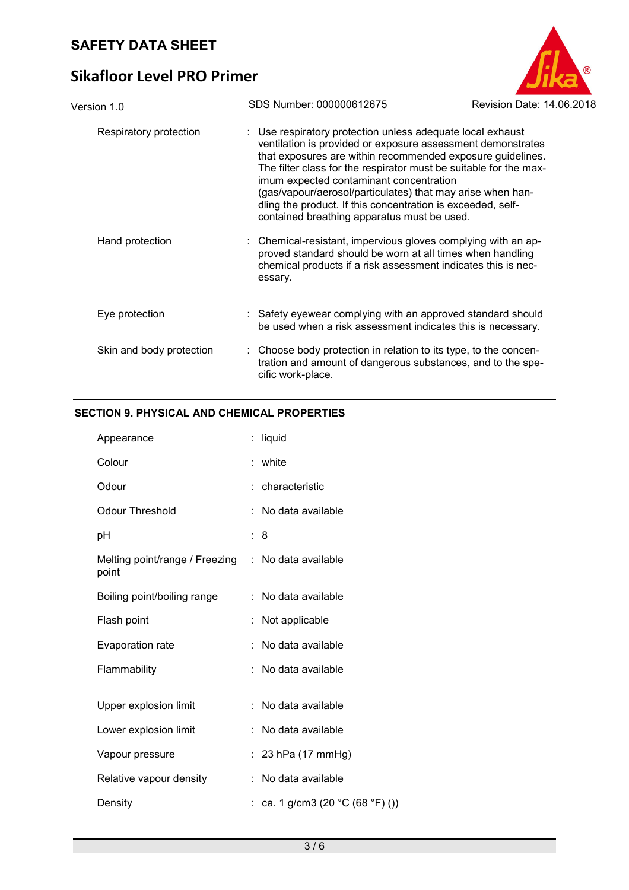# **Sikafloor Level PRO Primer**



## **SECTION 9. PHYSICAL AND CHEMICAL PROPERTIES**

| Appearance                              |    | liquid                           |
|-----------------------------------------|----|----------------------------------|
| Colour                                  | t  | white                            |
| Odour                                   |    | characteristic                   |
| <b>Odour Threshold</b>                  |    | No data available                |
| рH                                      | ÷. | 8                                |
| Melting point/range / Freezing<br>point | ÷  | No data available                |
| Boiling point/boiling range             | t. | No data available                |
| Flash point                             |    | Not applicable                   |
| Evaporation rate                        |    | No data available                |
| Flammability                            |    | No data available                |
|                                         |    |                                  |
| Upper explosion limit                   |    | No data available                |
| Lower explosion limit                   |    | No data available                |
| Vapour pressure                         |    | 23 hPa (17 mmHg)                 |
| Relative vapour density                 |    | No data available                |
| Density                                 |    | ca. 1 g/cm3 (20 $°C$ (68 °F) ()) |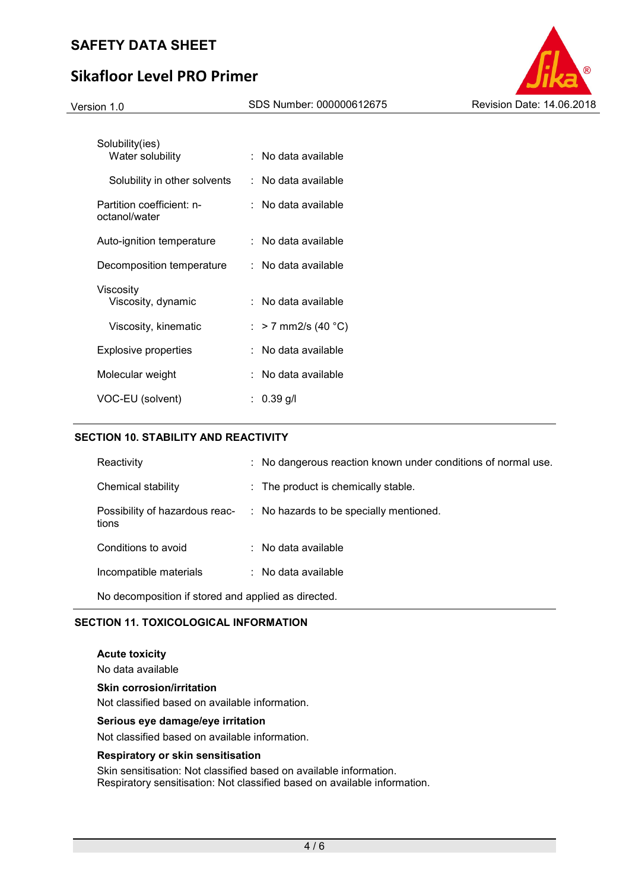# **Sikafloor Level PRO Primer**



| Solubility(ies)<br>Water solubility        | : No data available   |
|--------------------------------------------|-----------------------|
| Solubility in other solvents               | : No data available   |
| Partition coefficient: n-<br>octanol/water | : No data available   |
| Auto-ignition temperature                  | :   No data available |
| Decomposition temperature                  | : No data available   |
| Viscosity<br>Viscosity, dynamic            | : No data available   |
| Viscosity, kinematic                       | : > 7 mm2/s (40 °C)   |
| Explosive properties                       | No data available     |
| Molecular weight                           | : No data available   |
| VOC-EU (solvent)                           | : 0.39 q/l            |

## **SECTION 10. STABILITY AND REACTIVITY**

| Reactivity                                          | : No dangerous reaction known under conditions of normal use.          |  |
|-----------------------------------------------------|------------------------------------------------------------------------|--|
| Chemical stability                                  | : The product is chemically stable.                                    |  |
| tions                                               | Possibility of hazardous reac- : No hazards to be specially mentioned. |  |
| Conditions to avoid                                 | $\therefore$ No data available                                         |  |
| Incompatible materials                              | $\therefore$ No data available                                         |  |
| No decomposition if stored and applied as directed. |                                                                        |  |

## **SECTION 11. TOXICOLOGICAL INFORMATION**

**Acute toxicity**  No data available **Skin corrosion/irritation**  Not classified based on available information.

#### **Serious eye damage/eye irritation**

Not classified based on available information.

#### **Respiratory or skin sensitisation**

Skin sensitisation: Not classified based on available information. Respiratory sensitisation: Not classified based on available information.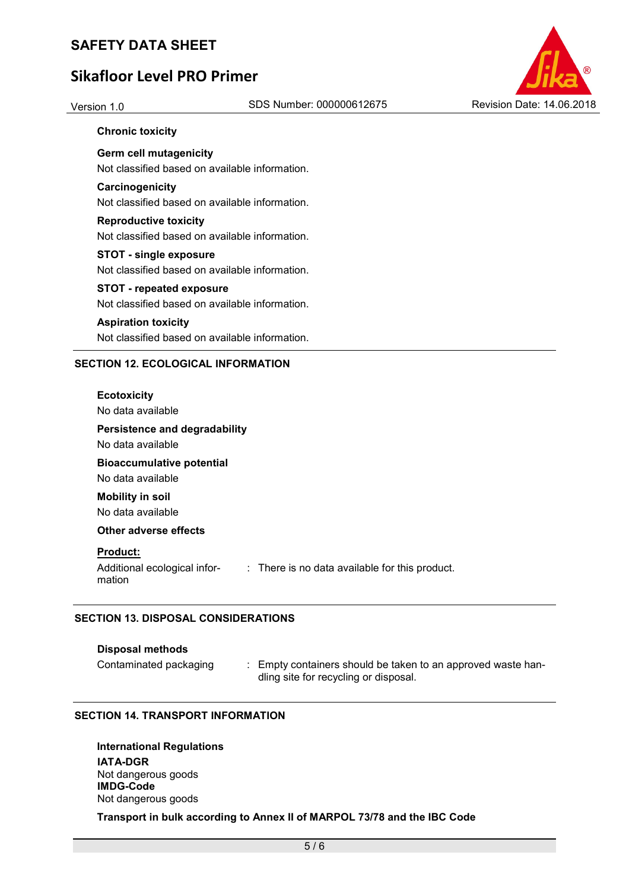# **Sikafloor Level PRO Primer**



## **Chronic toxicity**

**Germ cell mutagenicity**  Not classified based on available information.

## **Carcinogenicity**

Not classified based on available information.

# **Reproductive toxicity**

Not classified based on available information.

## **STOT - single exposure**

Not classified based on available information.

### **STOT - repeated exposure**

Not classified based on available information.

### **Aspiration toxicity**

Not classified based on available information.

## **SECTION 12. ECOLOGICAL INFORMATION**

### **Ecotoxicity**

No data available

## **Persistence and degradability**

No data available

# **Bioaccumulative potential**

No data available **Mobility in soil** 

No data available

## **Other adverse effects**

## **Product:**

Additional ecological information : There is no data available for this product.

## **SECTION 13. DISPOSAL CONSIDERATIONS**

## **Disposal methods**

Contaminated packaging : Empty containers should be taken to an approved waste handling site for recycling or disposal.

## **SECTION 14. TRANSPORT INFORMATION**

**International Regulations IATA-DGR** Not dangerous goods **IMDG-Code** Not dangerous goods

## **Transport in bulk according to Annex II of MARPOL 73/78 and the IBC Code**